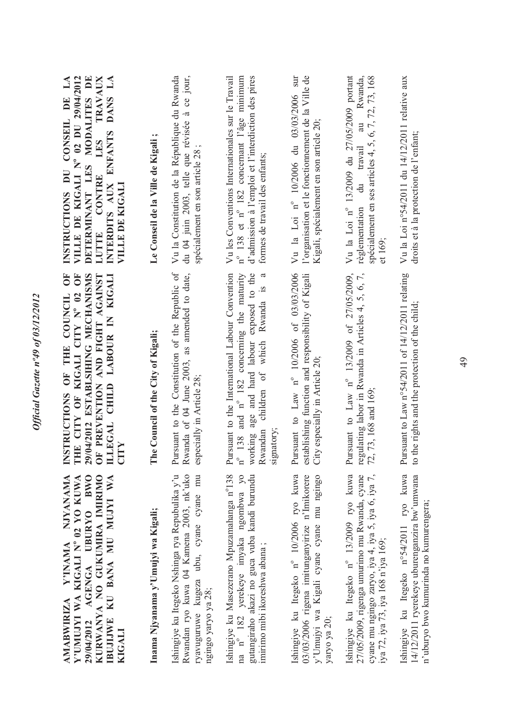| AMABWIRIZA Y'INAMA NJYANAMA<br>29/04/2012 AGENGA UBURYO BWO<br>KURWANYA NO GUKUMIRA IMIRIMO<br>Y'UMUJYI WA KIGALI N° 02 YO KUWA<br>IBUJIJWE KU BANA MU MUJYI WA<br>KIGALI            | ŎF<br>Ö<br>9/04/2012 ESTABLSIHING MECHANISMS<br>OF PREVENTION AND FIGHT AGAINST<br>ILLEGAL CHILD LABOUR IN KIGALI<br>INSTRUCTIONS OF THE COUNCIL<br>THE CITY OF KIGALI CITY Nº 02                                     | VILLE DE KIGALI Nº 02 DU 29/04/2012<br>MODALITES DE<br><b>TRAVAUX</b><br>LA<br>DANS LA<br>CONSEIL DE<br><b>ENFANTS</b><br>LES<br>DETERMINANT LES<br>INSTRUCTIONS DU<br>LUTTE CONTRE<br>INTERDITS AUX<br>VILLE DE KIGALI |
|--------------------------------------------------------------------------------------------------------------------------------------------------------------------------------------|-----------------------------------------------------------------------------------------------------------------------------------------------------------------------------------------------------------------------|-------------------------------------------------------------------------------------------------------------------------------------------------------------------------------------------------------------------------|
| Inama Njyanama y'Umujyi wa Kigali;                                                                                                                                                   | The Council of the City of Kigali;                                                                                                                                                                                    | Le Conseil de la Ville de Kigali                                                                                                                                                                                        |
| Ishingiye ku Itegeko Nshinga rya Repubulika y'u<br>Rwandan ryo kuwa 04 Kamena 2003, nk'uko<br>ryavuguruwe kugeza ubu, cyane cyane mu<br>ngingo yaryo ya 28;                          | Pursuant to the Constitution of the Republic of<br>Rwanda of 04 June 2003, as amended to date,<br>especially in Article 28;                                                                                           | Vu la Constitution de la République du Rwanda<br>ce jour,<br>du 04 juin 2003, telle que révisée à<br>spécialement en son article 28                                                                                     |
| na n° 182 yerekeye imyaka ngombwa yo<br>gutangiraho akazi no guca vuba kandi burundu<br>Ishingiye ku Masezerano Mpuzamahanga n°138<br>imirimo mibi ikoreshwa abana;                  | Pursuant to the International Labour Convention<br>working age and hard labour exposed to the<br>$n^{\circ}$ 138 and $n^{\circ}$ 182 concerning the maturity<br>Rwandan children of which Rwanda is a<br>gnatory<br>ವ | Vu les Conventions Internationales sur le Travail<br>n° 138 et n° 182 concernant l'âge minimum<br>d'admission à l'emploi et l'interdiction des pires<br>formes de travail des enfants;                                  |
| Ishingiye ku Itegeko nº 10/2006 ryo kuwa<br>03/03/2006 rigena imitunganyirize n'Imikorere<br>y'Umujyi wa Kigali cyane cyane mu ngingo<br>yaryo ya 20;                                | Pursuant to Law nº 10/2006 of 03/03/2006<br>establishing function and responsibility of Kigali<br>City especially in Article 20;                                                                                      | l'organisation et le fonctionnement de la Ville de<br>Vu la Loi nº 10/2006 du 03/03/2006 sur<br>Kigali, spécialement en son article 20;                                                                                 |
| 27/05/2009, rigenga umurimo mu Rwanda, cyane<br>Ishingiye ku Itegeko nº 13/2009 ryo kuwa<br>cyane mu ngingo zaryo, iya 4, iya 5, iya 6, iya 7,<br>iya 72, iya 73, iya 168 n'iya 169; | Pursuant to Law nº 13/2009 of 27/05/2009,<br>regulating labor in Rwanda in Articles 4, 5, 6, 7, 72, 73, 168 and 169;                                                                                                  | Vu la Loi nº 13/2009 du 27/05/2009 portant<br>Rwanda,<br>spécialement en ses articles 4, 5, 6, 7, 72, 73, 168<br>du travail au<br>règlementation<br>et 169                                                              |
| Ishingiye ku Itegeko n°54/2011 ryo kuwa<br>14/12/2011 ryerekeye uburenganzira bw'umwana<br>n'uburyo bwo kumurinda no kumurengera;                                                    | Pursuant to Law n°54/2011 of 14/12/2011 relating<br>to the rights and the protection of the child;                                                                                                                    | Vu la Loi n°54/2011 du 14/12/2011 relative aux<br>droits et à la protection de l'enfant;                                                                                                                                |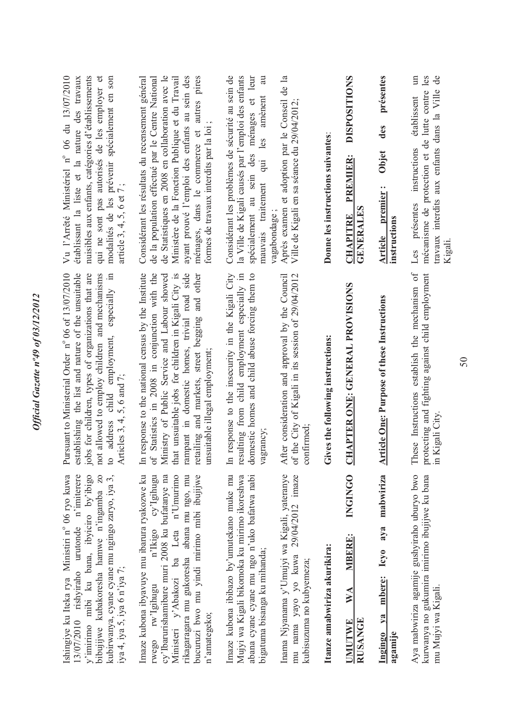| nuisibles aux enfants, catégories d'établissements<br>qui ne sont pas autorisés de les employer et<br>modalités de les prévenir spécialement en son<br>article 3, 4, 5, 6 et 7;<br>not allowed to employ children and mechanisms<br>address child employment, especially in | Considérant les résultats du recensement général<br>de la population effectué par le Centre National<br>de Statistiques en 2008 en collaboration avec le<br>autres pires<br>Ministère de la Fonction Publique et du Travail<br>ayant prouvé l'emploi des enfants au sein des<br>formes de travaux interdits par la loi<br>ménages, dans le commerce et<br>that unsuitable jobs for children in Kigali City is<br>rampant in domestic homes, trivial road side<br>response to the national census by the Institute<br>Statistics in 2008 in conjunction with the<br>Ministry of Public Service and Labour showed<br>retailing and markets, street begging and other<br>unsuitable illegal employment; | Considérant les problèmes de sécurité au sein de<br>la Ville de Kigali causés par l'emploi des enfants<br>spécialement au sein des ménages et leur<br>au<br>amènent<br>qui les<br>mauvais traitement<br>resulting from child employment especially in<br>domestic homes and child abuse forcing them to<br>response to the insecurity in the Kigali City | Après examen et adoption par le Conseil de la<br>Ville de Kigali en sa séance du 29/04/2012;<br>vagabondage;<br>After consideration and approval by the Council<br>of the City of Kigali in its session of 29/04/2012 | Donne les instructions suivantes:<br>Gives the following instructions: | <b>DISPOSITIONS</b><br>PREMIER:<br>GENERALES<br><b>CHAPITRE</b><br><b>CHAPTER ONE: GENERAL PROVISIONS</b> | présentes<br>des<br>Objet<br>premier:<br>instructions<br>Article<br><b>Article One: Purpose of these Instructions</b> | travaux interdits aux enfants dans la Ville de<br>mécanisme de protection et de lutte contre les<br>établissent<br>instructions<br>Les présentes<br>Kigali<br>These Instructions establish the mechanism of<br>protecting and fighting against child employment |
|-----------------------------------------------------------------------------------------------------------------------------------------------------------------------------------------------------------------------------------------------------------------------------|------------------------------------------------------------------------------------------------------------------------------------------------------------------------------------------------------------------------------------------------------------------------------------------------------------------------------------------------------------------------------------------------------------------------------------------------------------------------------------------------------------------------------------------------------------------------------------------------------------------------------------------------------------------------------------------------------|----------------------------------------------------------------------------------------------------------------------------------------------------------------------------------------------------------------------------------------------------------------------------------------------------------------------------------------------------------|-----------------------------------------------------------------------------------------------------------------------------------------------------------------------------------------------------------------------|------------------------------------------------------------------------|-----------------------------------------------------------------------------------------------------------|-----------------------------------------------------------------------------------------------------------------------|-----------------------------------------------------------------------------------------------------------------------------------------------------------------------------------------------------------------------------------------------------------------|
| Pursuant to Ministerial Order n° 06 of 13/07/2010<br>establishing the list and nature of the unsuitable<br>jobs for children, types of organizations that are<br>Articles 3, 4, 5, 6 and 7;<br>$\mathfrak{c}$                                                               | $\mathbb{H}$<br>ð                                                                                                                                                                                                                                                                                                                                                                                                                                                                                                                                                                                                                                                                                    | grancy;<br>$\Xi$<br>$\sqrt{a}$                                                                                                                                                                                                                                                                                                                           | nfirmed:<br>$\mathcal{S}$                                                                                                                                                                                             |                                                                        |                                                                                                           |                                                                                                                       | in Kigali City.                                                                                                                                                                                                                                                 |
| 13/07/2010 rishyiraho urutonde n'imiterere<br>kubirwanya, cyane cyane mu ngingo zaryo, iya 3,<br>y'imirimo mibi ku bana, ibyiciro by'ibigo<br>bibujijwe kubakoresha hamwe n'ingamba zo<br>iya 4, iya 5, iya 6 n'iya 7;                                                      | Imaze kubona ibyavuye mu ibarura ryakozwe ku<br>bucuruzi bwo mu yindi mirimo mibi ibujijwe<br>n'Ikigo cy'Igihugu<br>cy'lbarurishamibare muri 2008 ku bufatanye na<br>Ministeri y'Abakozi ba Leta n'Umurimo<br>rikagaragara mu gukoresha abana mu ngo, mu<br>rwego rw'Igihugu<br>n'amategeko;                                                                                                                                                                                                                                                                                                                                                                                                         | Imaze kubona ibibazo by'umutekano muke mu<br>Mujyi wa Kigali bikomoka ku mirimo ikoreshwa<br>abana cyane cyane mu ngo n'uko bafatwa nabi<br>bigatuma bisanga ku mihanda;                                                                                                                                                                                 | Inama Njyanama y'Umujyi wa Kigali, yateranye<br>mu nama yayo yo kuwa 29/04/2012 imaze<br>kubisuzuma no kubyemeza;                                                                                                     | Itanze amabwiriza akurikira:                                           | <b>INGINGO</b><br>MBERE:<br>WA<br><b>RUSANGE</b><br><b>UMUTWE</b>                                         | mabwiriza<br>Icyo aya<br>mbere:<br>$1$<br>agamije<br>Ingingo                                                          | Aya mabwiriza agamije gushyiraho uburyo bwo<br>kurwanya no gukumira imirimo ibujijwe ku bana<br>mu Mujyi wa Kigali.                                                                                                                                             |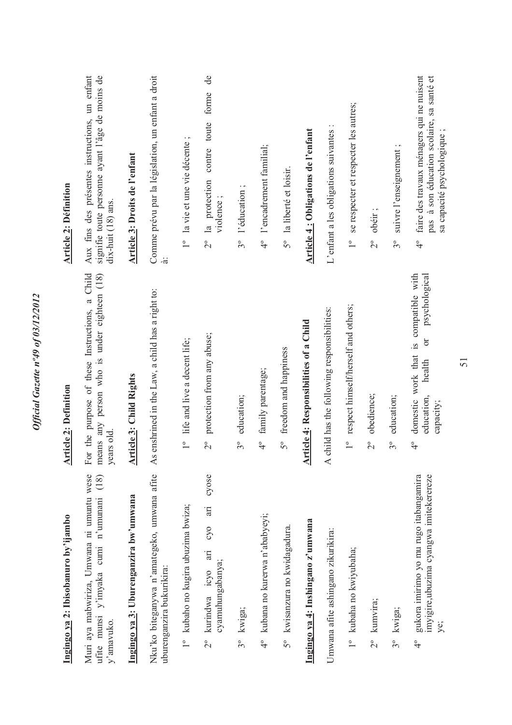| Ingingo ya 2: Ibisobanuro by'ijambo                                                                       | <b>Article 2: Definition</b>                                                                                      | <b>Article 2: Définition</b>                                                                                                  |
|-----------------------------------------------------------------------------------------------------------|-------------------------------------------------------------------------------------------------------------------|-------------------------------------------------------------------------------------------------------------------------------|
| Muri aya mabwiriza, Umwana ni umuntu wese<br>(18)<br>ufite munsi y'imyaka cumi n'umunani<br>y'amavuko.    | For the purpose of these Instructions, a Child<br>means any person who is under eighteen (18)<br>years old        | Aux fins des présentes instructions, un enfant<br>signifie toute personne ayant l'âge de moins de<br>dix-huit (18) ans.       |
| Ingingo ya 3: Uburenganzira bw'umwana                                                                     | <b>Article 3: Child Rights</b>                                                                                    | Article 3: Droits de l'enfant                                                                                                 |
| Nku'ko biteganywa n'amategeko, umwana afite<br>uburenganzira bukurikira:                                  | is enshrined in the Law, a child has a right to:<br>$\blacktriangleleft$                                          | Comme prévu par la législation, un enfant a droit<br>$\ddot{a}$                                                               |
| 1° kubaho no kugira ubuzima bwiza;                                                                        | life and live a decent life;<br>$\overline{1}^{\circ}$                                                            | 1° la vie et une vie décente;                                                                                                 |
| cyose<br>in<br>O <sub>2</sub><br>ing<br>cyamuhungabanya;<br>kurindwa icyo<br>$\frac{1}{2}$                | protection from any abuse;<br>$2^{\circ}$                                                                         | de<br>forme<br>contre toute<br>2° la protection<br>violence;                                                                  |
| 3° kwiga;                                                                                                 | education;<br>$3^{\circ}$                                                                                         | l'éducation;<br>$3^{\circ}$                                                                                                   |
| 4° kubana no kurerwa n'ababyeyi;                                                                          | family parentage;<br>$\ddot{ }$                                                                                   | 4° l'encadrement familial;                                                                                                    |
| 5° kwisanzura no kwidagadura.                                                                             | freedom and happiness<br>5°                                                                                       | 5° la liberté et loisir.                                                                                                      |
| Ingingo ya 4: Inshingano z'umwana                                                                         | rticle 4: Responsibilities of a Child<br>◀                                                                        | Article 4: Obligations de l'enfant                                                                                            |
| Umwana afite ashingano zikurikira:                                                                        | child has the following responsibilities:<br>$\blacktriangleleft$                                                 | L'enfant a les obligations suivantes                                                                                          |
| 1° kubaha no kwiyubaha;                                                                                   | respect himself/herself and others;<br>$\overline{1}^{\circ}$                                                     | se respecter et respecter les autres;<br>$\overline{1}^{\circ}$                                                               |
| 2° kumvira;                                                                                               | obedience;<br>$2^{\circ}$                                                                                         | obéir;<br>$2^{\circ}$                                                                                                         |
| 3° kwiga;                                                                                                 | education;<br>$3^{\circ}$                                                                                         | suivre l'enseignement<br>$3^{\circ}$                                                                                          |
| gukora imirimo yo mu rugo itabangamira<br>imyigire, ubuzima cyangwa imitekerereze<br>ye;<br>$\frac{1}{4}$ | domestic work that is compatible with<br>psychological<br>ð<br>health<br>education,<br>capacity;<br>$\frac{1}{4}$ | faire des travaux ménagers qui ne nuisent<br>pas à son éducation scolaire, sa santé et<br>sa capacité psychologique<br>्<br>प |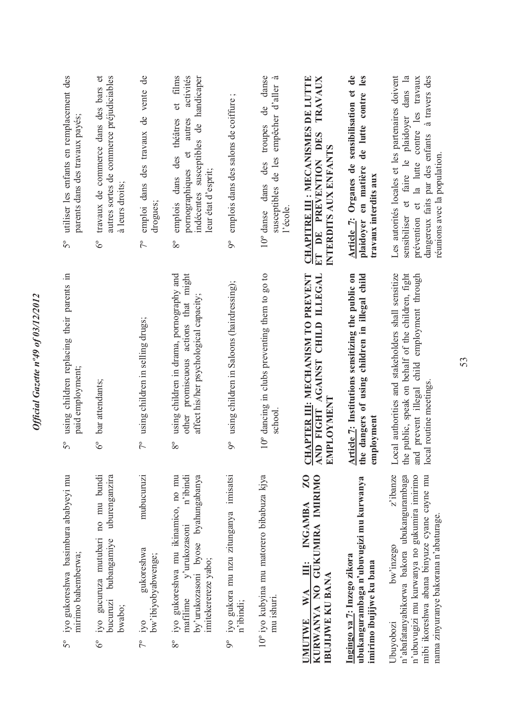| $5^{\circ}$   | iyo gukoreshwa basimbura ababyeyi mu<br>mirimo bahemberwa;                                                                                                                                                 | using children replacing their parents in<br>paid employment;<br>$5^{\circ}$                                                                                                        | utiliser les enfants en remplacement des<br>parents dans des travaux payés;<br>$5^{\circ}$                                                                                                                                   |
|---------------|------------------------------------------------------------------------------------------------------------------------------------------------------------------------------------------------------------|-------------------------------------------------------------------------------------------------------------------------------------------------------------------------------------|------------------------------------------------------------------------------------------------------------------------------------------------------------------------------------------------------------------------------|
| $6^{\circ}$   | no mu bundi<br>uburenganzira<br>iyo gucuruza mutubari<br>bubangamiye<br>bucuruzi<br>bwabo;                                                                                                                 | bar attendants;<br>$6^{\circ}$                                                                                                                                                      | travaux de commerce dans des bars et<br>autres sortes de commerce préjudiciables<br>à leurs droits;<br>$6^{\circ}$                                                                                                           |
|               | mubucuruzi<br>gukoreshwa<br>bw'ibiyobyabwenge;<br>$7^{\circ}$ iyo                                                                                                                                          | using children in selling drugs;<br>$7^{\circ}$                                                                                                                                     | emploi dans des travaux de vente de<br>drogues;<br>$7^{\circ}$                                                                                                                                                               |
| $8^{\circ}$   | iyo gukoreshwa mu ikinamico, no mu<br>n'ibindi<br>by'urukozasoni byose byahungabanya<br>mafilime y'urukozasoni<br>imitekerereze yabo;                                                                      | other promiscuous actions that might<br>using children in drama, pornography and<br>affect his/her psychological capacity;<br>$8^{\circ}$                                           | activités<br>et films<br>indécentes susceptibles de handicaper<br>emplois dans des théâtres<br>autres<br>pornographiques et<br>leur état d'esprit;<br>$8^{\circ}$                                                            |
| $9^{\circ}$   | iyo gukora mu nzu zitunganya imisatsi<br>n'ibindi;                                                                                                                                                         | using children in Saloons (hairdressing);<br>$\delta$                                                                                                                               | emplois dans des salons de coiffure;<br>$9^{\circ}$                                                                                                                                                                          |
|               | 10° iyo kubyina mu matorero bibabuza kjya<br>mu ishuri.                                                                                                                                                    | 10° dancing in clubs preventing them to go to<br>school.                                                                                                                            | danse<br>.ದ<br>empêcher d'aller<br>de<br>troupes<br>susceptibles de les<br>des<br>$10^{\circ}$ danse dans<br>l'école                                                                                                         |
| <b>UMUTWE</b> | $\overline{20}$<br>KURWANYA NO GUKUMIRA IMIRIMO<br>III: INGAMBA<br><b>IBUJIJWE KU BANA</b><br>WA                                                                                                           | CHAPTER III: MECHANISM TO PREVENT<br>AND FIGHT AGAINST CHILD ILLEGAL<br>EMPLOYMENT                                                                                                  | CHAPITRE III : MECANISMES DE LUTTE<br><b>TRAVAUX</b><br>ET DE PREVENTION DES<br>INTERDITS AUX ENFANTS                                                                                                                        |
|               | ubukangurambaga n'ubuvugizi mu kurwanya<br>Ingingo ya 7: Inzego zikora<br>imirimo ibujijwe ku bana                                                                                                         | Article 7: Institutions sensitizing the public on<br>the dangers of using children in illegal child<br>employment                                                                   | Article 7: Organes de sensibilisation et de<br>de lutte contre les<br>en matière<br>travaux interdits aux<br>plaidoyer                                                                                                       |
| Ubuyobozi     | z'ibanze<br>n'abafatanyabikorwa bakora ubukangurambaga<br>n'ubuvugizi mu kurwanya no gukumira imirimo<br>mibi ikoreshwa abana binyuze cyane cayne mu<br>nama zinyuranye bakorana n'abaturage.<br>bw'inzego | the public, speak on behalf of the children, fight<br>Local authorities and stakeholders shall sensitize<br>and prevent illegal child employment through<br>local routine meetings. | Les autorités locales et les partenaires doivent<br>sensibiliser et faire le plaidoyer dans la<br>prévention et la lutte contre les travaux<br>dangereux faits par des enfants à travers des<br>réunions avec la population. |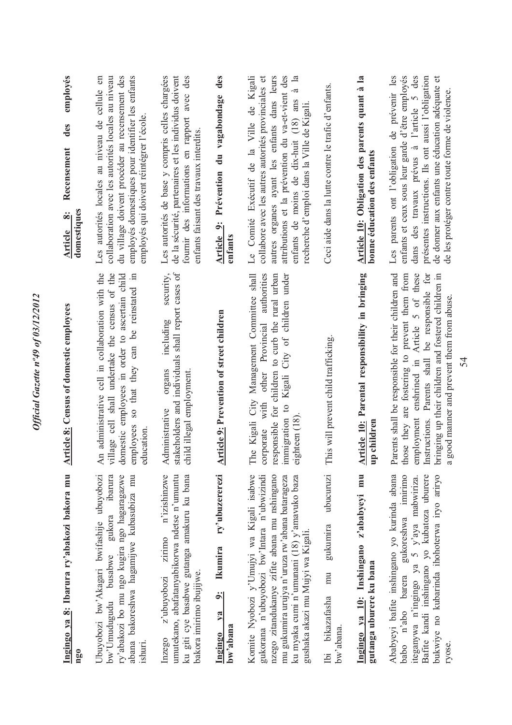| Ingingo ya 8: Ibarura ry'abakozi bakora mu<br>ng <sub>0</sub>                                                                                                                                                                                                                | <b>Article 8:</b> Census of domestic employees                                                                                                                                                                                                                                                            | employés<br>des<br>Recensement<br>domestiques<br>$\ddot{\circ}$<br>Article                                                                                                                                                                                                                               |
|------------------------------------------------------------------------------------------------------------------------------------------------------------------------------------------------------------------------------------------------------------------------------|-----------------------------------------------------------------------------------------------------------------------------------------------------------------------------------------------------------------------------------------------------------------------------------------------------------|----------------------------------------------------------------------------------------------------------------------------------------------------------------------------------------------------------------------------------------------------------------------------------------------------------|
| Ubuyobozi bw'Akagari bwifashije ubuyobozi<br>ibarura<br>ry'abakozi bo mu ngo kugira ngo hagaragazwe<br>abana bakoreshwa hagamijwe kubasubiza mu<br>gukora<br>bw'Umudugudu busabwe<br>ishuri.                                                                                 | village cell shall undertake the census of the<br>domestic employees in order to ascertain child<br>employees so that they can be reinstated in<br>An administrative cell in collaboration with the<br>education                                                                                          | employés domestiques pour identifier les enfants<br>collaboration avec les autorités locales au niveau<br>du village doivent procéder au recensement des<br>Les autorités locales au niveau de cellule en<br>employés qui doivent réintégrer l'école.                                                    |
| n'izishinzwe<br>umutekano, abafatanyabikorwa ndetse n'umuntu<br>ku giti cye basabwe gutanga amakuru ku bana<br>zirimo<br>bakora imirimo ibujijwe.<br>z'ubuyobozi<br>Inzego                                                                                                   | security,<br>stakeholders and individuals shall report cases of<br>including<br>organs<br>child illegal employment<br>Administrative                                                                                                                                                                      | Les autorités de base y compris celles chargées<br>de la sécurité, partenaires et les individus doivent<br>fournir des informations en rapport avec des<br>enfants faisant des travaux interdits.                                                                                                        |
| ry'ubuzererezi<br><b>Ikumira</b><br>$\frac{9}{2}$<br>Ingingo ya<br>bw'abana                                                                                                                                                                                                  | <b>Article 9: Prevention of street children</b>                                                                                                                                                                                                                                                           | Article 9: Prévention du vagabondage des<br>enfants                                                                                                                                                                                                                                                      |
| Komite Nyobozi y'Umujyi wa Kigali isabwe<br>gukorana n'ubuyobozi bw'Intara n'ubwizindi<br>nzego zitandukanye zifite abana mu nshingano<br>mu gukumira urujya n'uruza rw'abana batarageza<br>ku myaka cumi n'umunani (18) y'amavuko baza<br>gushaka akazi mu Mujyi wa Kigali. | The Kigali City Management Committee shall<br>Provincial authorities<br>responsible for children to curb the rural urban<br>Kigali City of children under<br>other<br>with<br>immigration to<br>eighteen (18)<br>corporate                                                                                | Le Comité Exécutif de la Ville de Kigali<br>collabore avec les autres autorités provinciales et<br>attributions et la prévention du va-et-vient des<br>autres organes ayant les enfants dans leurs<br>à la<br>enfants de moins de dix-huit (18) ans<br>recherche d'emploi dans la Ville de Kigali.       |
| ubucuruzi<br>gukumira<br>mu<br>Ibi bikazafasha<br>bw'abana.                                                                                                                                                                                                                  | This will prevent child trafficking.                                                                                                                                                                                                                                                                      | Ceci aide dans la lutte contre le trafic d'enfants.                                                                                                                                                                                                                                                      |
| Ingingo ya 10: Inshingano z'ababyeyi mu<br>gutanga uburere ku bana                                                                                                                                                                                                           | Article 10: Parental responsibility in bringing<br>up children                                                                                                                                                                                                                                            | Article 10: Obligation des parents quant à la<br>bonne éducation des enfants                                                                                                                                                                                                                             |
| Ababyeyi bafite inshingano yo kurinda abana<br>Bafite kandi inshingano yo kubatoza uburere<br>bukwiye no kubarinda ihohoterwa iryo ariryo<br>babo n'abo barera gukoreshwa imirimo<br>iteganywa n'ingingo ya 5 y'aya mabwiriza.<br>ryose.                                     | Parents shall be responsible for their children and<br>those they are fostering to prevent them from<br>employment enshrined in Article 5 of these<br>Instructions. Parents shall be responsible for<br>bringing up their children and fostered children in<br>a good manner and prevent them from abuse. | enfants et ceux sous leur garde d'être employés<br>dans des travaux prévus à l'article 5 des<br>de donner aux enfants une éducation adéquate et<br>Les parents ont l'obligation de prévenir les<br>présentes instructions. Ils ont aussi l'obligation<br>de les protéger contre toute forme de violence. |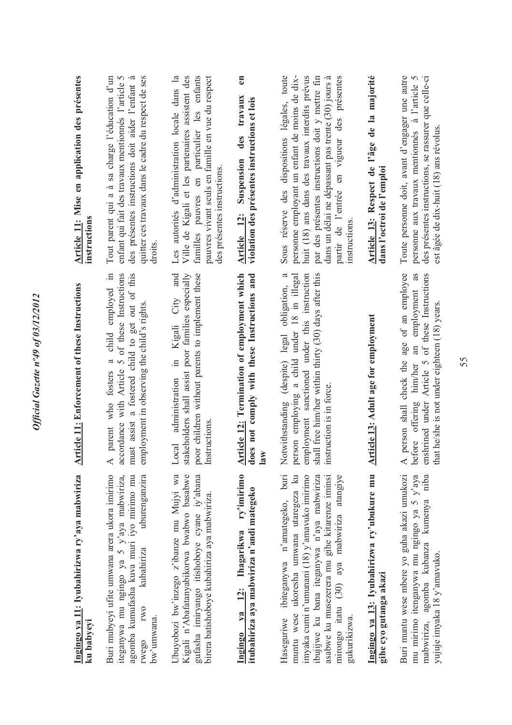| Ingingo ya 11: Iyubahirizwa ry'aya mabwiriza<br>ku babyeyi                                                                                                                                                                                                                                            | <b>Article 11:</b> Enforcement of these Instructions                                                                                                                                                                                          | Article 11: Mise en application des présentes<br>instructions                                                                                                                                                                                                                                                             |
|-------------------------------------------------------------------------------------------------------------------------------------------------------------------------------------------------------------------------------------------------------------------------------------------------------|-----------------------------------------------------------------------------------------------------------------------------------------------------------------------------------------------------------------------------------------------|---------------------------------------------------------------------------------------------------------------------------------------------------------------------------------------------------------------------------------------------------------------------------------------------------------------------------|
| Buri mubyeyi ufite umwana arera ukora imirimo<br>iteganywa mu ngingo ya 5 y'aya mabwiriza,<br>agomba kumufasha kuva muri iyo mirimo mu<br>uburenganzira<br>kubahiriza<br><b>IWO</b><br>bw'unwana.<br>rwego                                                                                            | child employed in<br>must assist a fostered child to get out of this<br>accordance with Article 5 of these Instructions<br>employment in observing the child's rights.<br>$\boldsymbol{\varpi}$<br>parent who fosters<br>⋖                    | Tout parent qui a à sa charge l'éducation d'un<br>des présentes instructions doit aider l'enfant à<br>quitter ces travaux dans le cadre du respect de ses<br>enfant qui fait des travaux mentionnés l'article 5<br>droits                                                                                                 |
| Kigali n'Abafatanyabikorwa bwabwo basabwe<br>Ubuyobozi bw'inzego z'ibanze mu Mujyi wa<br>gufasha imiryango itishoboye cyane iy'abana<br>birera batishoboye kubahiriza aya mabwiriza.                                                                                                                  | stakeholders shall assist poor families especially<br>and<br>poor children without parents to implement these<br>City<br>Kigali<br>$\Xi$<br>administration<br>Instructions<br>Local                                                           | Les autorités d'administration locale dans la<br>Ville de Kigali et les partenaires assistent des<br>pauvres vivant seuls en famille en vue du respect<br>familles pauvres en particulier les enfants<br>des présentes instructions.                                                                                      |
| ry'imirimo<br>itubahiriza aya mabwiriza n'andi mategeko<br>Ingingo ya 12: Ihagarikwa                                                                                                                                                                                                                  | Article 12: Termination of employment which<br>does not comply with these Instructions and<br>$\mathbf{law}$                                                                                                                                  | $\epsilon$ n<br>des travaux<br>violation des présentes instructions et lois<br>Suspension<br>Article 12:                                                                                                                                                                                                                  |
| $b$ uri<br>muntu wese ukoresha umwana utaregeza ku<br>imyaka cumi n'umunani (18) y'amavuko imirimo<br>ibujijwe ku bana iteganywa n'aya mabwiriza<br>asabwe ku musezerera mu gihe kitarenze iminsi<br>mirongo itatu (30) aya mabwiriza atangiye<br>Haseguriwe ibiteganywa n'amategeko,<br>gukurikizwa. | shall free him/her within thirty (30) days after this<br>$\epsilon$<br>person employing a child under 18 in illegal<br>employment sanctioned under this instruction<br>Notwithstanding (despite) legal obligation,<br>instruction is in force | par des présentes instructions doit y mettre fin<br>Sous réserve des dispositions légales, toute<br>personne employant un enfant de moins de dix-<br>huit (18) ans dans des travaux interdits prévus<br>dans un délai ne dépassant pas trente (30) jours à<br>partir de l'entrée en vigueur des présentes<br>instructions |
| Ingingo ya 13: Iyubahirizwa ry'ubukure mu<br>gihe cyo gutanga akazi                                                                                                                                                                                                                                   | <b>Article 13: Adult age for employment</b>                                                                                                                                                                                                   | Article 13: Respect de l'âge de la majorité<br>dans l'octroi de l'emploi                                                                                                                                                                                                                                                  |
| Buri muntu wese mbere yo guha akazi umukozi<br>mu mirimo itenganywa mu ngingo ya 5 y'aya<br>mabwiriza, agomba kubanza kumenya niba<br>yujuje imyaka 18 y'amavuko.                                                                                                                                     | person shall check the age of an employee<br>as<br>enshrined under Article 5 of these Instructions<br>before offering him/her an employment<br>that he/she is not under eighteen (18) years<br>⋖                                              | Toute personne doit, avant d'engager une autre<br>des présentes instructions, se rassurer que celle-ci<br>personne aux travaux mentiomés à l'article 5<br>est âgée de dix-huit (18) ans révolus                                                                                                                           |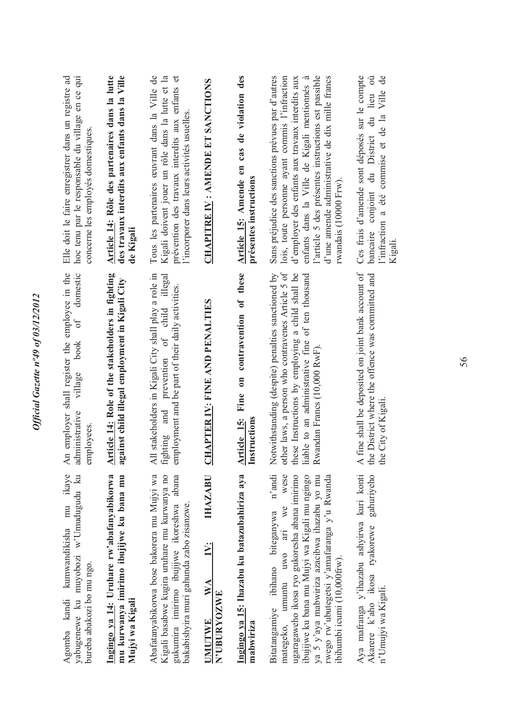| Elle doit le faire enregistrer dans un registre ad<br>hoc tenu par le responsable du village en ce qui<br>concerne les employés domestiques<br>domestic | Article 14: Rôle des partenaires dans la lutte<br>des travaux interdits aux enfants dans la Ville<br>de Kigali | Tous les partenaires œuvrant dans la Ville de<br>Kigali doivent jouer un rôle dans la lutte et la<br>prévention des travaux interdits aux enfants et<br>l'incorporer dans leurs activités usuelles. | CHAPITRE IV: AMENDE ET SANCTIONS                                 | Article 15: Amende en cas de violation des<br>présentes instructions | l'article 5 des présentes instructions est passible<br>Sans préjudice des sanctions prévues par d'autres<br>lois, toute personne ayant commis l'infraction<br>d'employer des enfants aux travaux interdits aux<br>d'une amende administrative de dix mille francs<br>enfants dans la Ville de Kigali mentiomés à<br>rwandais (10000 Frw). | Ces frais d'amende sont déposés sur le compte<br>l'infraction a été commise et de la Ville de<br>du District du lieu où<br>bancaire conjoint<br>Kigali. |
|---------------------------------------------------------------------------------------------------------------------------------------------------------|----------------------------------------------------------------------------------------------------------------|-----------------------------------------------------------------------------------------------------------------------------------------------------------------------------------------------------|------------------------------------------------------------------|----------------------------------------------------------------------|-------------------------------------------------------------------------------------------------------------------------------------------------------------------------------------------------------------------------------------------------------------------------------------------------------------------------------------------|---------------------------------------------------------------------------------------------------------------------------------------------------------|
| An employer shall register the employee in the<br>of<br>book<br>village<br>administrative<br>employees.                                                 | Article 14: Role of the stakeholders in fighting<br>against child illegal employment in Kigali City            | All stakeholders in Kigali City shall play a role in<br>ighting and prevention of child illegal<br>employment and be part of their daily activities.                                                | <b>CHAPTER IV: FINE AND PENALTIES</b>                            | Fine on contravention of these<br>Article 15:<br>Instructions        | other laws, a person who contravenes Article 5 of<br>Notwithstanding (despite) penalties sanctioned by<br>hese Instructions by employing a child shall be<br>liable to an administrative fine of ten thousand<br>Rwandan Francs (10,000 RwF).                                                                                             | fine shall be deposited on joint bank account of<br>the District where the offence was committed and<br>the City of Kigali.<br>$\triangleleft$          |
| yabugenewe ku muyobozi w'Umudugudu ku<br>Agomba kandi kumwandikisha mu ikaye<br>bureba abakozi bo mu ngo.                                               | Ingingo ya 14: Uruhare rw'abafanyabikorwa<br>mu kurwanya imirimo ibujijwe ku bana mu<br>Mujyi wa Kigali        | Abafatanyabikorwa bose bakorera mu Mujyi wa<br>Kigali basabwe kugira uruhare mu kurwanya no<br>gukumira imirimo ibujijwe ikoreshwa abana<br>bakabishyira muri gahunda zabo zisanzwe.                | <b>IHAZABU</b><br>$\ddot{\Sigma}$<br>WA<br>N'UBURYOZWE<br>UMUTWE | Ingingo ya 15: Ihazabu ku batazubahiriza aya<br>mabwiriza            | n'andi<br>wese<br>ugaragaweho ikosa ryo gukoresha abana imirimo<br>ibujijwe ku bana mu Mujyi wa Kigali mu ngingo<br>ya 5 y'aya mabwiriza azacibwa ihazabu yo mu<br>rwego rw'ubutegetsi y'amafaranga y'u Rwanda<br>we<br>Bitatangamiye ibihano biteganywa<br>umuntu uwo ari<br>ibihumbi icumi (10,000frw).<br>mategeko,                    | Aya mafranga y'ihazabu ashyirwa kuri konti<br>gahuriyeho<br>Akarere k'aho ikosa ryakorewe<br>n'Umujyi wa Kigali.                                        |